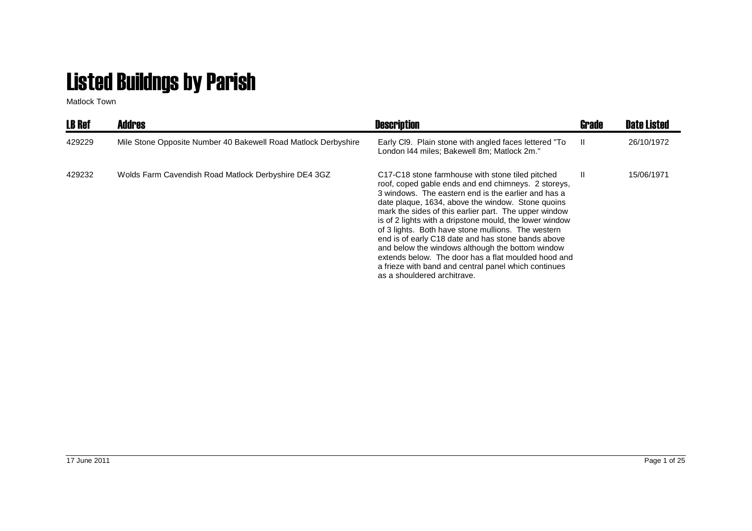## Listed Buildngs by Parish

Matlock Town

| <b>LB Ref</b> | <b>Addres</b>                                                  | <b>Description</b>                                                                                                                                                                                                                                                                                                                                                                                                                                                                                                                                                                                                                                    | Grade | <b>Date Listed</b> |
|---------------|----------------------------------------------------------------|-------------------------------------------------------------------------------------------------------------------------------------------------------------------------------------------------------------------------------------------------------------------------------------------------------------------------------------------------------------------------------------------------------------------------------------------------------------------------------------------------------------------------------------------------------------------------------------------------------------------------------------------------------|-------|--------------------|
| 429229        | Mile Stone Opposite Number 40 Bakewell Road Matlock Derbyshire | Early CI9. Plain stone with angled faces lettered "To<br>London I44 miles; Bakewell 8m; Matlock 2m."                                                                                                                                                                                                                                                                                                                                                                                                                                                                                                                                                  | - 11  | 26/10/1972         |
| 429232        | Wolds Farm Cavendish Road Matlock Derbyshire DE4 3GZ           | C17-C18 stone farmhouse with stone tiled pitched<br>roof, coped gable ends and end chimneys. 2 storeys,<br>3 windows. The eastern end is the earlier and has a<br>date plaque, 1634, above the window. Stone quoins<br>mark the sides of this earlier part. The upper window<br>is of 2 lights with a dripstone mould, the lower window<br>of 3 lights. Both have stone mullions. The western<br>end is of early C18 date and has stone bands above<br>and below the windows although the bottom window<br>extends below. The door has a flat moulded hood and<br>a frieze with band and central panel which continues<br>as a shouldered architrave. | Ш.    | 15/06/1971         |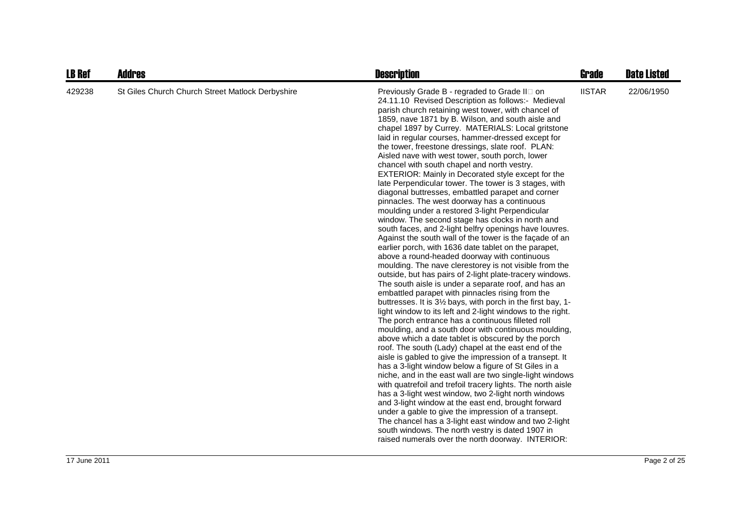| <b>LB Ref</b> | <b>Addres</b>                                    | <b>Description</b>                                                                                                                                                                                                                                                                                                                                                                                                                                                                                                                                                                                                                                                                                                                                                                                                                                                                                                                                                                                                                                                                                                                                                                                                                                                                                                                                                                                                                                                                                                                                                                                                                                                                                                                                                                                                                                                                                                                                                                                                                                                                                                                                                                                                         | <b>Grade</b>  | <b>Date Listed</b> |
|---------------|--------------------------------------------------|----------------------------------------------------------------------------------------------------------------------------------------------------------------------------------------------------------------------------------------------------------------------------------------------------------------------------------------------------------------------------------------------------------------------------------------------------------------------------------------------------------------------------------------------------------------------------------------------------------------------------------------------------------------------------------------------------------------------------------------------------------------------------------------------------------------------------------------------------------------------------------------------------------------------------------------------------------------------------------------------------------------------------------------------------------------------------------------------------------------------------------------------------------------------------------------------------------------------------------------------------------------------------------------------------------------------------------------------------------------------------------------------------------------------------------------------------------------------------------------------------------------------------------------------------------------------------------------------------------------------------------------------------------------------------------------------------------------------------------------------------------------------------------------------------------------------------------------------------------------------------------------------------------------------------------------------------------------------------------------------------------------------------------------------------------------------------------------------------------------------------------------------------------------------------------------------------------------------------|---------------|--------------------|
| 429238        | St Giles Church Church Street Matlock Derbyshire | Previously Grade B - regraded to Grade II on<br>24.11.10 Revised Description as follows:- Medieval<br>parish church retaining west tower, with chancel of<br>1859, nave 1871 by B. Wilson, and south aisle and<br>chapel 1897 by Currey. MATERIALS: Local gritstone<br>laid in regular courses, hammer-dressed except for<br>the tower, freestone dressings, slate roof. PLAN:<br>Aisled nave with west tower, south porch, lower<br>chancel with south chapel and north vestry.<br>EXTERIOR: Mainly in Decorated style except for the<br>late Perpendicular tower. The tower is 3 stages, with<br>diagonal buttresses, embattled parapet and corner<br>pinnacles. The west doorway has a continuous<br>moulding under a restored 3-light Perpendicular<br>window. The second stage has clocks in north and<br>south faces, and 2-light belfry openings have louvres.<br>Against the south wall of the tower is the façade of an<br>earlier porch, with 1636 date tablet on the parapet,<br>above a round-headed doorway with continuous<br>moulding. The nave clerestorey is not visible from the<br>outside, but has pairs of 2-light plate-tracery windows.<br>The south aisle is under a separate roof, and has an<br>embattled parapet with pinnacles rising from the<br>buttresses. It is 31/2 bays, with porch in the first bay, 1-<br>light window to its left and 2-light windows to the right.<br>The porch entrance has a continuous filleted roll<br>moulding, and a south door with continuous moulding,<br>above which a date tablet is obscured by the porch<br>roof. The south (Lady) chapel at the east end of the<br>aisle is gabled to give the impression of a transept. It<br>has a 3-light window below a figure of St Giles in a<br>niche, and in the east wall are two single-light windows<br>with quatrefoil and trefoil tracery lights. The north aisle<br>has a 3-light west window, two 2-light north windows<br>and 3-light window at the east end, brought forward<br>under a gable to give the impression of a transept.<br>The chancel has a 3-light east window and two 2-light<br>south windows. The north vestry is dated 1907 in<br>raised numerals over the north doorway. INTERIOR: | <b>IISTAR</b> | 22/06/1950         |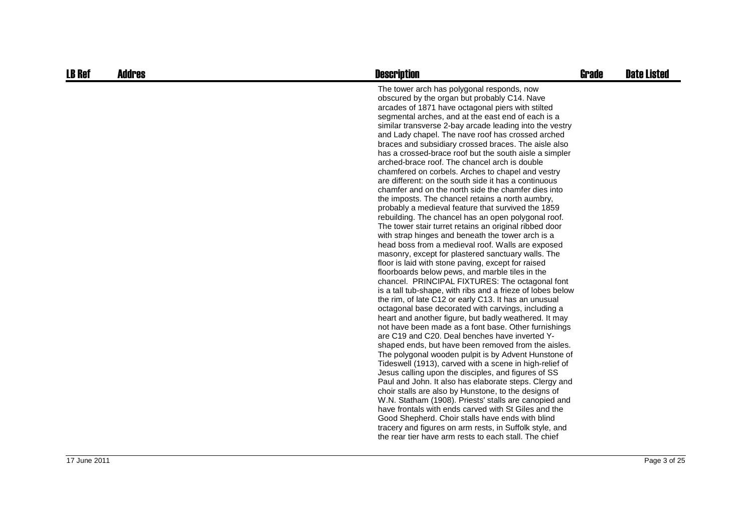| <b>LB Ref</b> | <b>Addres</b> | <b>Description</b>                                                                                                                                                                                                                                                                                                                                                                                                                                                                                                                                                                                                                                                                                                                                                                                                                                                                                                                                                                                                                                                                                                                                                                                                                                                                                                                                                                                                                                                                                                                                                                                                                                                                                                                                                                                                                                                                                                                                                                                                                                                                                                                                                                                              | <b>Grade</b> | <b>Date Listed</b> |
|---------------|---------------|-----------------------------------------------------------------------------------------------------------------------------------------------------------------------------------------------------------------------------------------------------------------------------------------------------------------------------------------------------------------------------------------------------------------------------------------------------------------------------------------------------------------------------------------------------------------------------------------------------------------------------------------------------------------------------------------------------------------------------------------------------------------------------------------------------------------------------------------------------------------------------------------------------------------------------------------------------------------------------------------------------------------------------------------------------------------------------------------------------------------------------------------------------------------------------------------------------------------------------------------------------------------------------------------------------------------------------------------------------------------------------------------------------------------------------------------------------------------------------------------------------------------------------------------------------------------------------------------------------------------------------------------------------------------------------------------------------------------------------------------------------------------------------------------------------------------------------------------------------------------------------------------------------------------------------------------------------------------------------------------------------------------------------------------------------------------------------------------------------------------------------------------------------------------------------------------------------------------|--------------|--------------------|
|               |               | The tower arch has polygonal responds, now<br>obscured by the organ but probably C14. Nave<br>arcades of 1871 have octagonal piers with stilted<br>segmental arches, and at the east end of each is a<br>similar transverse 2-bay arcade leading into the vestry<br>and Lady chapel. The nave roof has crossed arched<br>braces and subsidiary crossed braces. The aisle also<br>has a crossed-brace roof but the south aisle a simpler<br>arched-brace roof. The chancel arch is double<br>chamfered on corbels. Arches to chapel and vestry<br>are different: on the south side it has a continuous<br>chamfer and on the north side the chamfer dies into<br>the imposts. The chancel retains a north aumbry,<br>probably a medieval feature that survived the 1859<br>rebuilding. The chancel has an open polygonal roof.<br>The tower stair turret retains an original ribbed door<br>with strap hinges and beneath the tower arch is a<br>head boss from a medieval roof. Walls are exposed<br>masonry, except for plastered sanctuary walls. The<br>floor is laid with stone paving, except for raised<br>floorboards below pews, and marble tiles in the<br>chancel. PRINCIPAL FIXTURES: The octagonal font<br>is a tall tub-shape, with ribs and a frieze of lobes below<br>the rim, of late C12 or early C13. It has an unusual<br>octagonal base decorated with carvings, including a<br>heart and another figure, but badly weathered. It may<br>not have been made as a font base. Other furnishings<br>are C19 and C20. Deal benches have inverted Y-<br>shaped ends, but have been removed from the aisles.<br>The polygonal wooden pulpit is by Advent Hunstone of<br>Tideswell (1913), carved with a scene in high-relief of<br>Jesus calling upon the disciples, and figures of SS<br>Paul and John. It also has elaborate steps. Clergy and<br>choir stalls are also by Hunstone, to the designs of<br>W.N. Statham (1908). Priests' stalls are canopied and<br>have frontals with ends carved with St Giles and the<br>Good Shepherd. Choir stalls have ends with blind<br>tracery and figures on arm rests, in Suffolk style, and<br>the rear tier have arm rests to each stall. The chief |              |                    |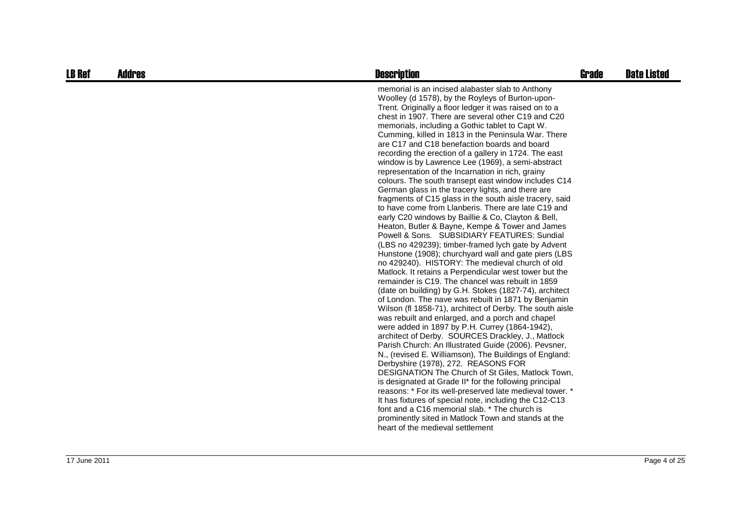| <b>LB Ref</b> | <b>Addres</b> | <b>Description</b>                                                                                                                                                                                                                                                                                                                                                                                                                                                                                                                                                                                                                                                                                                                                                                                                                                                                                                                                                                                                                                                                                                                                                                                                                                                                                                                                                                                                                                                                                                                                                                                                                                                                                                                                                                                                                                                                                                                                                                                                                                                                                         | <b>Grade</b> | <b>Date Listed</b> |
|---------------|---------------|------------------------------------------------------------------------------------------------------------------------------------------------------------------------------------------------------------------------------------------------------------------------------------------------------------------------------------------------------------------------------------------------------------------------------------------------------------------------------------------------------------------------------------------------------------------------------------------------------------------------------------------------------------------------------------------------------------------------------------------------------------------------------------------------------------------------------------------------------------------------------------------------------------------------------------------------------------------------------------------------------------------------------------------------------------------------------------------------------------------------------------------------------------------------------------------------------------------------------------------------------------------------------------------------------------------------------------------------------------------------------------------------------------------------------------------------------------------------------------------------------------------------------------------------------------------------------------------------------------------------------------------------------------------------------------------------------------------------------------------------------------------------------------------------------------------------------------------------------------------------------------------------------------------------------------------------------------------------------------------------------------------------------------------------------------------------------------------------------------|--------------|--------------------|
|               |               | memorial is an incised alabaster slab to Anthony<br>Woolley (d 1578), by the Royleys of Burton-upon-<br>Trent. Originally a floor ledger it was raised on to a<br>chest in 1907. There are several other C19 and C20<br>memorials, including a Gothic tablet to Capt W.<br>Cumming, killed in 1813 in the Peninsula War. There<br>are C17 and C18 benefaction boards and board<br>recording the erection of a gallery in 1724. The east<br>window is by Lawrence Lee (1969), a semi-abstract<br>representation of the Incarnation in rich, grainy<br>colours. The south transept east window includes C14<br>German glass in the tracery lights, and there are<br>fragments of C15 glass in the south aisle tracery, said<br>to have come from Llanberis. There are late C19 and<br>early C20 windows by Baillie & Co, Clayton & Bell,<br>Heaton, Butler & Bayne, Kempe & Tower and James<br>Powell & Sons. SUBSIDIARY FEATURES: Sundial<br>(LBS no 429239); timber-framed lych gate by Advent<br>Hunstone (1908); churchyard wall and gate piers (LBS<br>no 429240). HISTORY: The medieval church of old<br>Matlock. It retains a Perpendicular west tower but the<br>remainder is C19. The chancel was rebuilt in 1859<br>(date on building) by G.H. Stokes (1827-74), architect<br>of London. The nave was rebuilt in 1871 by Benjamin<br>Wilson (fl 1858-71), architect of Derby. The south aisle<br>was rebuilt and enlarged, and a porch and chapel<br>were added in 1897 by P.H. Currey (1864-1942),<br>architect of Derby. SOURCES Drackley, J., Matlock<br>Parish Church: An Illustrated Guide (2006). Pevsner,<br>N., (revised E. Williamson), The Buildings of England:<br>Derbyshire (1978), 272. REASONS FOR<br>DESIGNATION The Church of St Giles, Matlock Town,<br>is designated at Grade II* for the following principal<br>reasons: * For its well-preserved late medieval tower. *<br>It has fixtures of special note, including the C12-C13<br>font and a C16 memorial slab. * The church is<br>prominently sited in Matlock Town and stands at the<br>heart of the medieval settlement |              |                    |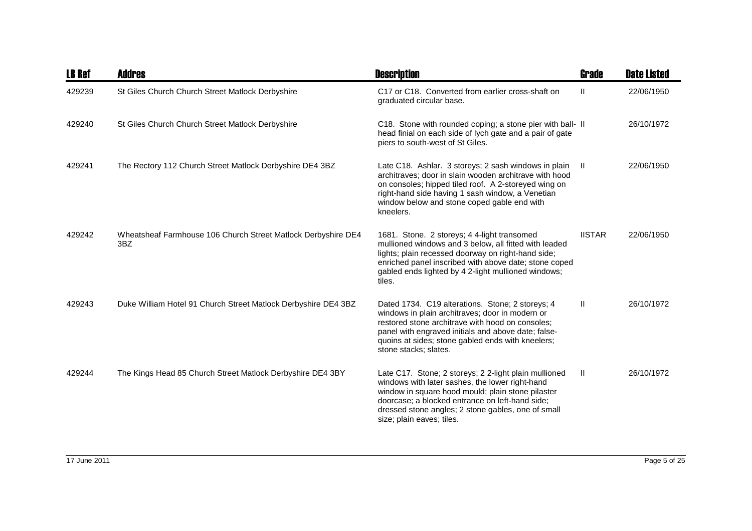| <b>LB Ref</b> | Addres                                                               | <b>Description</b>                                                                                                                                                                                                                                                                                  | Grade         | <b>Date Listed</b> |
|---------------|----------------------------------------------------------------------|-----------------------------------------------------------------------------------------------------------------------------------------------------------------------------------------------------------------------------------------------------------------------------------------------------|---------------|--------------------|
| 429239        | St Giles Church Church Street Matlock Derbyshire                     | C17 or C18. Converted from earlier cross-shaft on<br>graduated circular base.                                                                                                                                                                                                                       | $\mathbf{I}$  | 22/06/1950         |
| 429240        | St Giles Church Church Street Matlock Derbyshire                     | C18. Stone with rounded coping; a stone pier with ball- II<br>head finial on each side of lych gate and a pair of gate<br>piers to south-west of St Giles.                                                                                                                                          |               | 26/10/1972         |
| 429241        | The Rectory 112 Church Street Matlock Derbyshire DE4 3BZ             | Late C18. Ashlar. 3 storeys; 2 sash windows in plain<br>architraves; door in slain wooden architrave with hood<br>on consoles; hipped tiled roof. A 2-storeyed wing on<br>right-hand side having 1 sash window, a Venetian<br>window below and stone coped gable end with<br>kneelers.              | -II.          | 22/06/1950         |
| 429242        | Wheatsheaf Farmhouse 106 Church Street Matlock Derbyshire DE4<br>3BZ | 1681. Stone. 2 storeys; 4 4-light transomed<br>mullioned windows and 3 below, all fitted with leaded<br>lights; plain recessed doorway on right-hand side;<br>enriched panel inscribed with above date; stone coped<br>gabled ends lighted by 4 2-light mullioned windows;<br>tiles.                | <b>IISTAR</b> | 22/06/1950         |
| 429243        | Duke William Hotel 91 Church Street Matlock Derbyshire DE4 3BZ       | Dated 1734. C19 alterations. Stone; 2 storeys; 4<br>windows in plain architraves; door in modern or<br>restored stone architrave with hood on consoles;<br>panel with engraved initials and above date; false-<br>quoins at sides; stone gabled ends with kneelers;<br>stone stacks; slates.        | Ш             | 26/10/1972         |
| 429244        | The Kings Head 85 Church Street Matlock Derbyshire DE4 3BY           | Late C17. Stone; 2 storeys; 2 2-light plain mullioned<br>windows with later sashes, the lower right-hand<br>window in square hood mould; plain stone pilaster<br>doorcase; a blocked entrance on left-hand side;<br>dressed stone angles; 2 stone gables, one of small<br>size; plain eaves; tiles. | $\mathbf{H}$  | 26/10/1972         |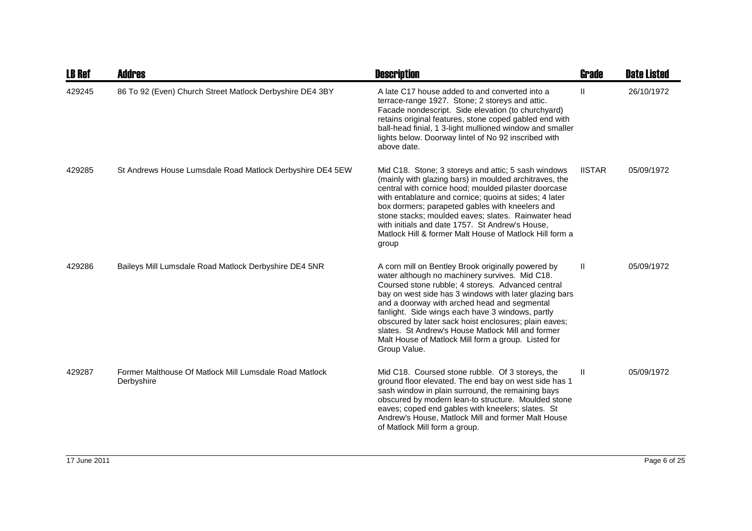| <b>LB Ref</b> | <b>Addres</b>                                                        | <b>Description</b>                                                                                                                                                                                                                                                                                                                                                                                                                                                                                           | <b>Grade</b>  | <b>Date Listed</b> |
|---------------|----------------------------------------------------------------------|--------------------------------------------------------------------------------------------------------------------------------------------------------------------------------------------------------------------------------------------------------------------------------------------------------------------------------------------------------------------------------------------------------------------------------------------------------------------------------------------------------------|---------------|--------------------|
| 429245        | 86 To 92 (Even) Church Street Matlock Derbyshire DE4 3BY             | A late C17 house added to and converted into a<br>terrace-range 1927. Stone; 2 storeys and attic.<br>Facade nondescript. Side elevation (to churchyard)<br>retains original features, stone coped gabled end with<br>ball-head finial, 1 3-light mullioned window and smaller<br>lights below. Doorway lintel of No 92 inscribed with<br>above date.                                                                                                                                                         | $\mathbf{H}$  | 26/10/1972         |
| 429285        | St Andrews House Lumsdale Road Matlock Derbyshire DE4 5EW            | Mid C18. Stone; 3 storeys and attic; 5 sash windows<br>(mainly with glazing bars) in moulded architraves, the<br>central with cornice hood; moulded pilaster doorcase<br>with entablature and cornice; quoins at sides; 4 later<br>box dormers; parapeted gables with kneelers and<br>stone stacks; moulded eaves; slates. Rainwater head<br>with initials and date 1757. St Andrew's House,<br>Matlock Hill & former Malt House of Matlock Hill form a<br>group                                             | <b>IISTAR</b> | 05/09/1972         |
| 429286        | Baileys Mill Lumsdale Road Matlock Derbyshire DE4 5NR                | A corn mill on Bentley Brook originally powered by<br>water although no machinery survives. Mid C18.<br>Coursed stone rubble; 4 storeys. Advanced central<br>bay on west side has 3 windows with later glazing bars<br>and a doorway with arched head and segmental<br>fanlight. Side wings each have 3 windows, partly<br>obscured by later sack hoist enclosures; plain eaves;<br>slates. St Andrew's House Matlock Mill and former<br>Malt House of Matlock Mill form a group. Listed for<br>Group Value. | H.            | 05/09/1972         |
| 429287        | Former Malthouse Of Matlock Mill Lumsdale Road Matlock<br>Derbyshire | Mid C18. Coursed stone rubble. Of 3 storeys, the<br>ground floor elevated. The end bay on west side has 1<br>sash window in plain surround, the remaining bays<br>obscured by modern lean-to structure. Moulded stone<br>eaves; coped end gables with kneelers; slates. St<br>Andrew's House, Matlock Mill and former Malt House<br>of Matlock Mill form a group.                                                                                                                                            | Ш             | 05/09/1972         |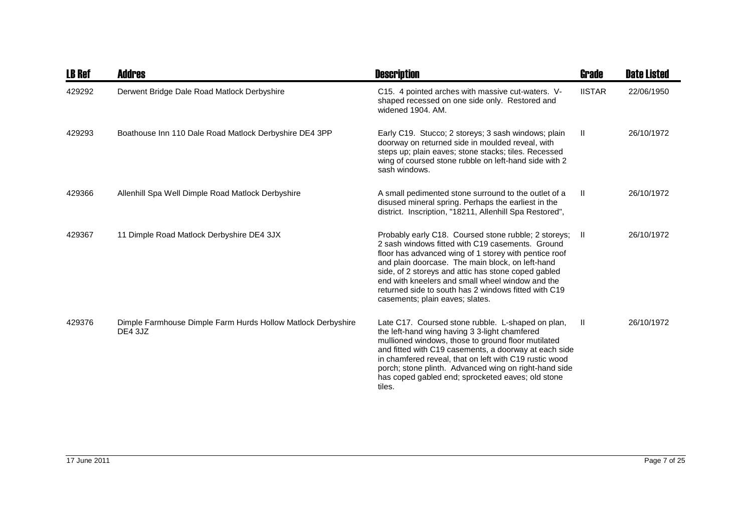| <b>LB Ref</b> | <b>Addres</b>                                                           | <b>Description</b>                                                                                                                                                                                                                                                                                                                                                                                                             | Grade         | <b>Date Listed</b> |
|---------------|-------------------------------------------------------------------------|--------------------------------------------------------------------------------------------------------------------------------------------------------------------------------------------------------------------------------------------------------------------------------------------------------------------------------------------------------------------------------------------------------------------------------|---------------|--------------------|
| 429292        | Derwent Bridge Dale Road Matlock Derbyshire                             | C15. 4 pointed arches with massive cut-waters. V-<br>shaped recessed on one side only. Restored and<br>widened 1904, AM.                                                                                                                                                                                                                                                                                                       | <b>IISTAR</b> | 22/06/1950         |
| 429293        | Boathouse Inn 110 Dale Road Matlock Derbyshire DE4 3PP                  | Early C19. Stucco; 2 storeys; 3 sash windows; plain<br>doorway on returned side in moulded reveal, with<br>steps up; plain eaves; stone stacks; tiles. Recessed<br>wing of coursed stone rubble on left-hand side with 2<br>sash windows.                                                                                                                                                                                      | $\mathbf{H}$  | 26/10/1972         |
| 429366        | Allenhill Spa Well Dimple Road Matlock Derbyshire                       | A small pedimented stone surround to the outlet of a<br>disused mineral spring. Perhaps the earliest in the<br>district. Inscription, "18211, Allenhill Spa Restored",                                                                                                                                                                                                                                                         | $\mathbf{H}$  | 26/10/1972         |
| 429367        | 11 Dimple Road Matlock Derbyshire DE4 3JX                               | Probably early C18. Coursed stone rubble; 2 storeys; II<br>2 sash windows fitted with C19 casements. Ground<br>floor has advanced wing of 1 storey with pentice roof<br>and plain doorcase. The main block, on left-hand<br>side, of 2 storeys and attic has stone coped gabled<br>end with kneelers and small wheel window and the<br>returned side to south has 2 windows fitted with C19<br>casements; plain eaves; slates. |               | 26/10/1972         |
| 429376        | Dimple Farmhouse Dimple Farm Hurds Hollow Matlock Derbyshire<br>DE4 3JZ | Late C17. Coursed stone rubble. L-shaped on plan,<br>the left-hand wing having 3 3-light chamfered<br>mullioned windows, those to ground floor mutilated<br>and fitted with C19 casements, a doorway at each side<br>in chamfered reveal, that on left with C19 rustic wood<br>porch; stone plinth. Advanced wing on right-hand side<br>has coped gabled end; sprocketed eaves; old stone<br>tiles.                            | $\mathbf{H}$  | 26/10/1972         |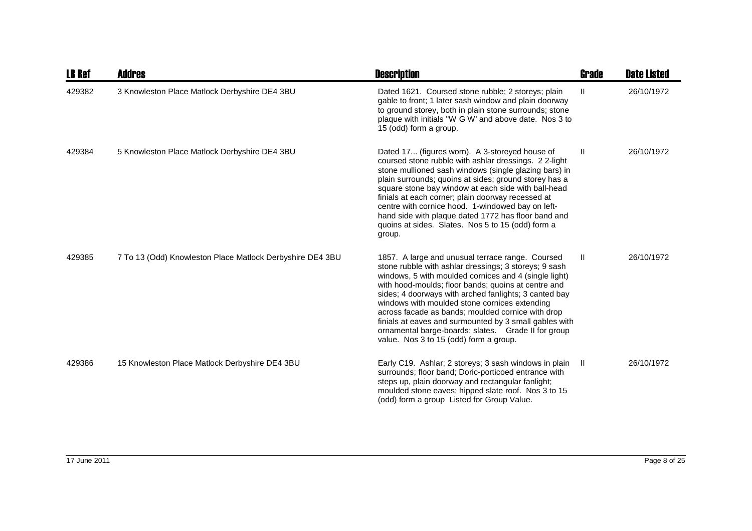| <b>LB Ref</b> | <b>Addres</b>                                             | <b>Description</b>                                                                                                                                                                                                                                                                                                                                                                                                                                                                                                                                  | Grade | <b>Date Listed</b> |
|---------------|-----------------------------------------------------------|-----------------------------------------------------------------------------------------------------------------------------------------------------------------------------------------------------------------------------------------------------------------------------------------------------------------------------------------------------------------------------------------------------------------------------------------------------------------------------------------------------------------------------------------------------|-------|--------------------|
| 429382        | 3 Knowleston Place Matlock Derbyshire DE4 3BU             | Dated 1621. Coursed stone rubble; 2 storeys; plain<br>gable to front; 1 later sash window and plain doorway<br>to ground storey, both in plain stone surrounds; stone<br>plaque with initials "W G W' and above date. Nos 3 to<br>15 (odd) form a group.                                                                                                                                                                                                                                                                                            | H.    | 26/10/1972         |
| 429384        | 5 Knowleston Place Matlock Derbyshire DE4 3BU             | Dated 17 (figures worn). A 3-storeyed house of<br>coursed stone rubble with ashlar dressings. 22-light<br>stone mullioned sash windows (single glazing bars) in<br>plain surrounds; quoins at sides; ground storey has a<br>square stone bay window at each side with ball-head<br>finials at each corner; plain doorway recessed at<br>centre with cornice hood. 1-windowed bay on left-<br>hand side with plaque dated 1772 has floor band and<br>quoins at sides. Slates. Nos 5 to 15 (odd) form a<br>group.                                     | Ш     | 26/10/1972         |
| 429385        | 7 To 13 (Odd) Knowleston Place Matlock Derbyshire DE4 3BU | 1857. A large and unusual terrace range. Coursed<br>stone rubble with ashlar dressings; 3 storeys; 9 sash<br>windows, 5 with moulded cornices and 4 (single light)<br>with hood-moulds; floor bands; quoins at centre and<br>sides; 4 doorways with arched fanlights; 3 canted bay<br>windows with moulded stone cornices extending<br>across facade as bands; moulded cornice with drop<br>finials at eaves and surmounted by 3 small gables with<br>ornamental barge-boards; slates. Grade II for group<br>value. Nos 3 to 15 (odd) form a group. | Ш.    | 26/10/1972         |
| 429386        | 15 Knowleston Place Matlock Derbyshire DE4 3BU            | Early C19. Ashlar; 2 storeys; 3 sash windows in plain<br>surrounds; floor band; Doric-porticoed entrance with<br>steps up, plain doorway and rectangular fanlight;<br>moulded stone eaves; hipped slate roof. Nos 3 to 15<br>(odd) form a group Listed for Group Value.                                                                                                                                                                                                                                                                             | - 11  | 26/10/1972         |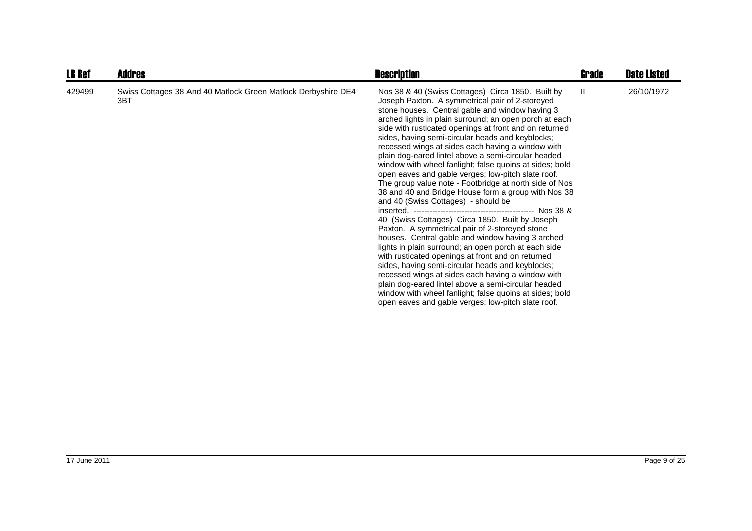| <b>LB Ref</b> | <b>Addres</b>                                                        | <b>Description</b>                                                                                                                                                                                                                                                                                                                                                                                                                                                                                                                                                                                                                                                                                                                                                                                                                                                                                                                                                                                                                                                                                                                                                                                                                                                          | Grade | <b>Date Listed</b> |
|---------------|----------------------------------------------------------------------|-----------------------------------------------------------------------------------------------------------------------------------------------------------------------------------------------------------------------------------------------------------------------------------------------------------------------------------------------------------------------------------------------------------------------------------------------------------------------------------------------------------------------------------------------------------------------------------------------------------------------------------------------------------------------------------------------------------------------------------------------------------------------------------------------------------------------------------------------------------------------------------------------------------------------------------------------------------------------------------------------------------------------------------------------------------------------------------------------------------------------------------------------------------------------------------------------------------------------------------------------------------------------------|-------|--------------------|
| 429499        | Swiss Cottages 38 And 40 Matlock Green Matlock Derbyshire DE4<br>3BT | Nos 38 & 40 (Swiss Cottages) Circa 1850. Built by<br>Joseph Paxton. A symmetrical pair of 2-storeyed<br>stone houses. Central gable and window having 3<br>arched lights in plain surround; an open porch at each<br>side with rusticated openings at front and on returned<br>sides, having semi-circular heads and keyblocks;<br>recessed wings at sides each having a window with<br>plain dog-eared lintel above a semi-circular headed<br>window with wheel fanlight; false quoins at sides; bold<br>open eaves and gable verges; low-pitch slate roof.<br>The group value note - Footbridge at north side of Nos<br>38 and 40 and Bridge House form a group with Nos 38<br>and 40 (Swiss Cottages) - should be<br>40 (Swiss Cottages) Circa 1850. Built by Joseph<br>Paxton. A symmetrical pair of 2-storeyed stone<br>houses. Central gable and window having 3 arched<br>lights in plain surround; an open porch at each side<br>with rusticated openings at front and on returned<br>sides, having semi-circular heads and keyblocks;<br>recessed wings at sides each having a window with<br>plain dog-eared lintel above a semi-circular headed<br>window with wheel fanlight; false quoins at sides; bold<br>open eaves and gable verges; low-pitch slate roof. | Ш.    | 26/10/1972         |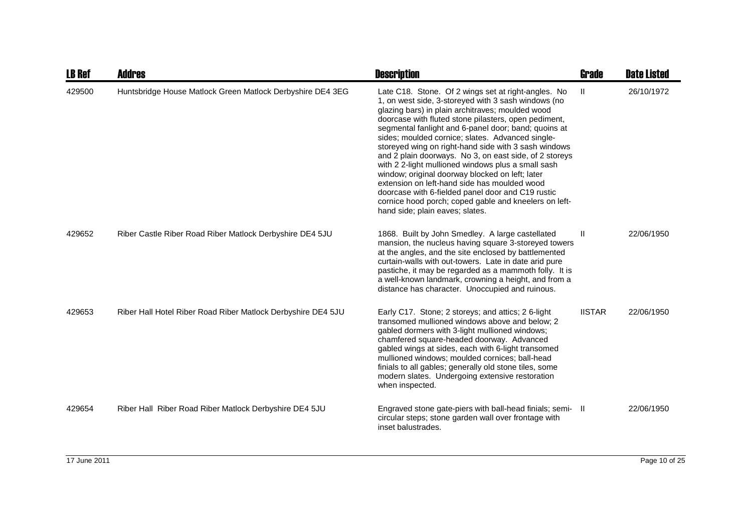| <b>LB Ref</b> | <b>Addres</b>                                                | <b>Description</b>                                                                                                                                                                                                                                                                                                                                                                                                                                                                                                                                                                                                                                                                                                                                             | Grade         | <b>Date Listed</b> |
|---------------|--------------------------------------------------------------|----------------------------------------------------------------------------------------------------------------------------------------------------------------------------------------------------------------------------------------------------------------------------------------------------------------------------------------------------------------------------------------------------------------------------------------------------------------------------------------------------------------------------------------------------------------------------------------------------------------------------------------------------------------------------------------------------------------------------------------------------------------|---------------|--------------------|
| 429500        | Huntsbridge House Matlock Green Matlock Derbyshire DE4 3EG   | Late C18. Stone. Of 2 wings set at right-angles. No<br>1, on west side, 3-storeyed with 3 sash windows (no<br>glazing bars) in plain architraves; moulded wood<br>doorcase with fluted stone pilasters, open pediment,<br>segmental fanlight and 6-panel door; band; quoins at<br>sides; moulded cornice; slates. Advanced single-<br>storeyed wing on right-hand side with 3 sash windows<br>and 2 plain doorways. No 3, on east side, of 2 storeys<br>with 2 2-light mullioned windows plus a small sash<br>window; original doorway blocked on left; later<br>extension on left-hand side has moulded wood<br>doorcase with 6-fielded panel door and C19 rustic<br>cornice hood porch; coped gable and kneelers on left-<br>hand side; plain eaves; slates. | $\mathbf{H}$  | 26/10/1972         |
| 429652        | Riber Castle Riber Road Riber Matlock Derbyshire DE4 5JU     | 1868. Built by John Smedley. A large castellated<br>mansion, the nucleus having square 3-storeyed towers<br>at the angles, and the site enclosed by battlemented<br>curtain-walls with out-towers. Late in date arid pure<br>pastiche, it may be regarded as a mammoth folly. It is<br>a well-known landmark, crowning a height, and from a<br>distance has character. Unoccupied and ruinous.                                                                                                                                                                                                                                                                                                                                                                 | Ш             | 22/06/1950         |
| 429653        | Riber Hall Hotel Riber Road Riber Matlock Derbyshire DE4 5JU | Early C17. Stone; 2 storeys; and attics; 2 6-light<br>transomed mullioned windows above and below: 2<br>gabled dormers with 3-light mullioned windows;<br>chamfered square-headed doorway. Advanced<br>gabled wings at sides, each with 6-light transomed<br>mullioned windows; moulded cornices; ball-head<br>finials to all gables; generally old stone tiles, some<br>modern slates. Undergoing extensive restoration<br>when inspected.                                                                                                                                                                                                                                                                                                                    | <b>IISTAR</b> | 22/06/1950         |
| 429654        | Riber Hall Riber Road Riber Matlock Derbyshire DE4 5JU       | Engraved stone gate-piers with ball-head finials; semi- II<br>circular steps; stone garden wall over frontage with<br>inset balustrades.                                                                                                                                                                                                                                                                                                                                                                                                                                                                                                                                                                                                                       |               | 22/06/1950         |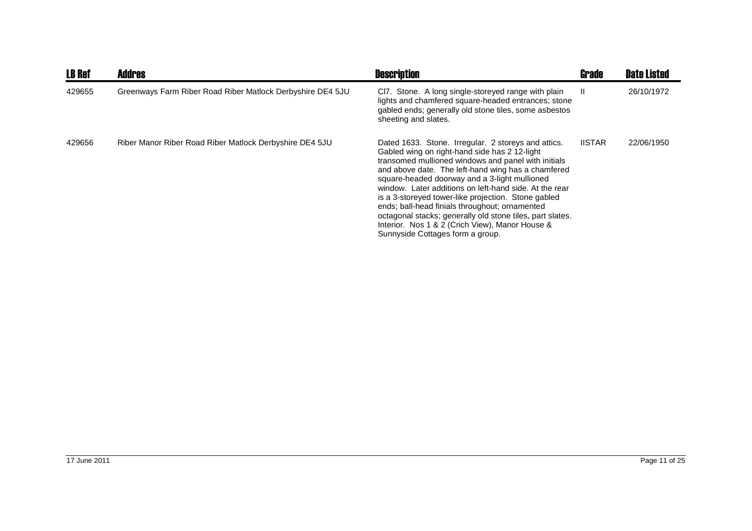| <b>LB Ref</b> | Addres                                                     | <b>Description</b>                                                                                                                                                                                                                                                                                                                                                                                                                                                                                                                                                                        | Grade         | <b>Date Listed</b> |
|---------------|------------------------------------------------------------|-------------------------------------------------------------------------------------------------------------------------------------------------------------------------------------------------------------------------------------------------------------------------------------------------------------------------------------------------------------------------------------------------------------------------------------------------------------------------------------------------------------------------------------------------------------------------------------------|---------------|--------------------|
| 429655        | Greenways Farm Riber Road Riber Matlock Derbyshire DE4 5JU | CI7. Stone. A long single-storeyed range with plain<br>lights and chamfered square-headed entrances; stone<br>gabled ends; generally old stone tiles, some asbestos<br>sheeting and slates.                                                                                                                                                                                                                                                                                                                                                                                               | Ш             | 26/10/1972         |
| 429656        | Riber Manor Riber Road Riber Matlock Derbyshire DE4 5JU    | Dated 1633. Stone. Irregular. 2 storeys and attics.<br>Gabled wing on right-hand side has 2 12-light<br>transomed mullioned windows and panel with initials<br>and above date. The left-hand wing has a chamfered<br>square-headed doorway and a 3-light mullioned<br>window. Later additions on left-hand side. At the rear<br>is a 3-storeyed tower-like projection. Stone gabled<br>ends; ball-head finials throughout; ornamented<br>octagonal stacks; generally old stone tiles, part slates.<br>Interior. Nos 1 & 2 (Crich View), Manor House &<br>Sunnyside Cottages form a group. | <b>IISTAR</b> | 22/06/1950         |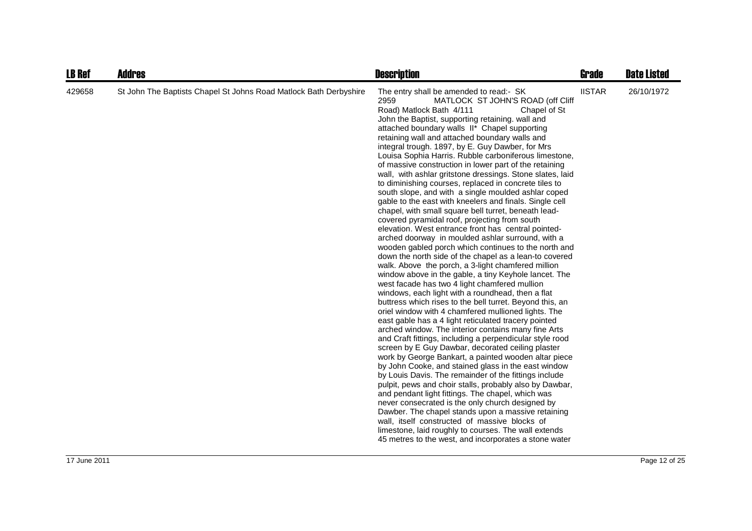| <b>LB Ref</b> | <b>Addres</b>                                                     | <b>Description</b>                                                                                                                                                                                                                                                                                                                                                                                                                                                                                                                                                                                                                                                                                                                                                                                                                                                                                                                                                                                                                                                                                                                                                                                                                                                                                                                                                                                                                                                                                                                                                                                                                                                                                                                                                                                                                                                                                                                                                                                                                                                                                                                                                                        | <b>Grade</b>  | <b>Date Listed</b> |
|---------------|-------------------------------------------------------------------|-------------------------------------------------------------------------------------------------------------------------------------------------------------------------------------------------------------------------------------------------------------------------------------------------------------------------------------------------------------------------------------------------------------------------------------------------------------------------------------------------------------------------------------------------------------------------------------------------------------------------------------------------------------------------------------------------------------------------------------------------------------------------------------------------------------------------------------------------------------------------------------------------------------------------------------------------------------------------------------------------------------------------------------------------------------------------------------------------------------------------------------------------------------------------------------------------------------------------------------------------------------------------------------------------------------------------------------------------------------------------------------------------------------------------------------------------------------------------------------------------------------------------------------------------------------------------------------------------------------------------------------------------------------------------------------------------------------------------------------------------------------------------------------------------------------------------------------------------------------------------------------------------------------------------------------------------------------------------------------------------------------------------------------------------------------------------------------------------------------------------------------------------------------------------------------------|---------------|--------------------|
| 429658        | St John The Baptists Chapel St Johns Road Matlock Bath Derbyshire | The entry shall be amended to read:- SK<br>2959<br>MATLOCK ST JOHN'S ROAD (off Cliff<br>Road) Matlock Bath 4/111<br>Chapel of St<br>John the Baptist, supporting retaining. wall and<br>attached boundary walls II* Chapel supporting<br>retaining wall and attached boundary walls and<br>integral trough. 1897, by E. Guy Dawber, for Mrs<br>Louisa Sophia Harris. Rubble carboniferous limestone,<br>of massive construction in lower part of the retaining<br>wall, with ashlar gritstone dressings. Stone slates, laid<br>to diminishing courses, replaced in concrete tiles to<br>south slope, and with a single moulded ashlar coped<br>gable to the east with kneelers and finals. Single cell<br>chapel, with small square bell turret, beneath lead-<br>covered pyramidal roof, projecting from south<br>elevation. West entrance front has central pointed-<br>arched doorway in moulded ashlar surround, with a<br>wooden gabled porch which continues to the north and<br>down the north side of the chapel as a lean-to covered<br>walk. Above the porch, a 3-light chamfered million<br>window above in the gable, a tiny Keyhole lancet. The<br>west facade has two 4 light chamfered mullion<br>windows, each light with a roundhead, then a flat<br>buttress which rises to the bell turret. Beyond this, an<br>oriel window with 4 chamfered mullioned lights. The<br>east gable has a 4 light reticulated tracery pointed<br>arched window. The interior contains many fine Arts<br>and Craft fittings, including a perpendicular style rood<br>screen by E Guy Dawbar, decorated ceiling plaster<br>work by George Bankart, a painted wooden altar piece<br>by John Cooke, and stained glass in the east window<br>by Louis Davis. The remainder of the fittings include<br>pulpit, pews and choir stalls, probably also by Dawbar,<br>and pendant light fittings. The chapel, which was<br>never consecrated is the only church designed by<br>Dawber. The chapel stands upon a massive retaining<br>wall, itself constructed of massive blocks of<br>limestone, laid roughly to courses. The wall extends<br>45 metres to the west, and incorporates a stone water | <b>IISTAR</b> | 26/10/1972         |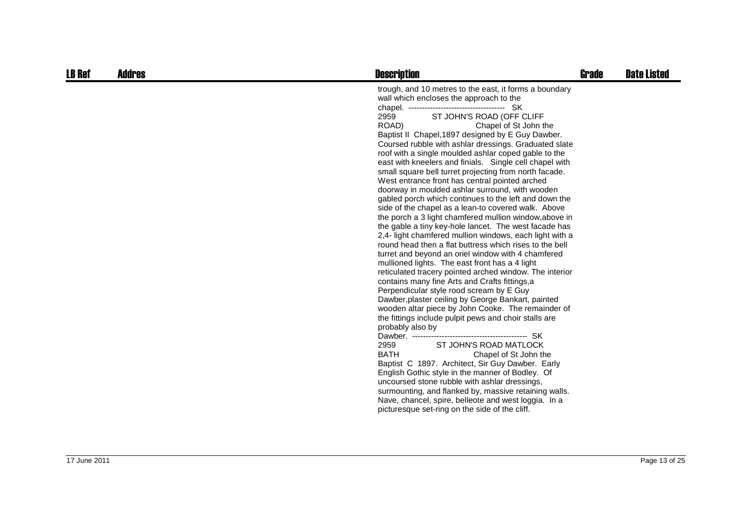| <b>LB Ref</b> | Addres | <b>Description</b>                                                                                                                                                                                                                                                                                                                                                                                                                                                                                                                                                                                                                                                                                                                                                                                                                                                                                                                                                                                                                                                                                                                                                                                                                                                                                                                                                                                                                                                                                                                                                                                                                                                                                                                                                                               | <b>Grade</b> | <b>Date Listed</b> |
|---------------|--------|--------------------------------------------------------------------------------------------------------------------------------------------------------------------------------------------------------------------------------------------------------------------------------------------------------------------------------------------------------------------------------------------------------------------------------------------------------------------------------------------------------------------------------------------------------------------------------------------------------------------------------------------------------------------------------------------------------------------------------------------------------------------------------------------------------------------------------------------------------------------------------------------------------------------------------------------------------------------------------------------------------------------------------------------------------------------------------------------------------------------------------------------------------------------------------------------------------------------------------------------------------------------------------------------------------------------------------------------------------------------------------------------------------------------------------------------------------------------------------------------------------------------------------------------------------------------------------------------------------------------------------------------------------------------------------------------------------------------------------------------------------------------------------------------------|--------------|--------------------|
|               |        | trough, and 10 metres to the east, it forms a boundary<br>wall which encloses the approach to the<br>ST JOHN'S ROAD (OFF CLIFF<br>2959<br>ROAD)<br>Chapel of St John the<br>Baptist II Chapel, 1897 designed by E Guy Dawber.<br>Coursed rubble with ashlar dressings. Graduated slate<br>roof with a single moulded ashlar coped gable to the<br>east with kneelers and finials. Single cell chapel with<br>small square bell turret projecting from north facade.<br>West entrance front has central pointed arched<br>doorway in moulded ashlar surround, with wooden<br>gabled porch which continues to the left and down the<br>side of the chapel as a lean-to covered walk. Above<br>the porch a 3 light chamfered mullion window, above in<br>the gable a tiny key-hole lancet. The west facade has<br>2,4- light chamfered mullion windows, each light with a<br>round head then a flat buttress which rises to the bell<br>turret and beyond an oriel window with 4 chamfered<br>mullioned lights. The east front has a 4 light<br>reticulated tracery pointed arched window. The interior<br>contains many fine Arts and Crafts fittings,a<br>Perpendicular style rood scream by E Guy<br>Dawber, plaster ceiling by George Bankart, painted<br>wooden altar piece by John Cooke. The remainder of<br>the fittings include pulpit pews and choir stalls are<br>probably also by<br>2959<br>ST JOHN'S ROAD MATLOCK<br><b>BATH</b><br>Chapel of St John the<br>Baptist C 1897. Architect, Sir Guy Dawber. Early<br>English Gothic style in the manner of Bodley. Of<br>uncoursed stone rubble with ashlar dressings,<br>surmounting, and flanked by, massive retaining walls.<br>Nave, chancel, spire, belleote and west loggia. In a<br>picturesque set-ring on the side of the cliff. |              |                    |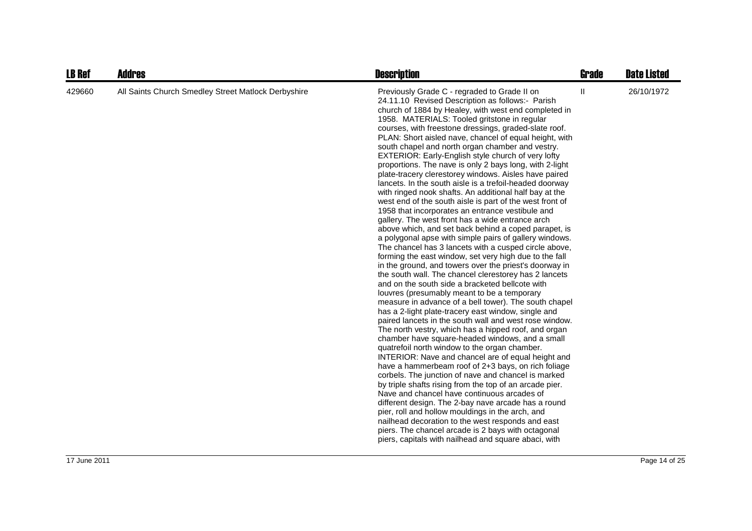| <b>LB Ref</b> | <b>Addres</b>                                       | <b>Description</b>                                                                                                                                                                                                                                                                                                                                                                                                                                                                                                                                                                                                                                                                                                                                                                                                                                                                                                                                                                                                                                                                                                                                                                                                                                                                                                                                                                                                                                                                                                                                                                                                                                                                                                                                                                                                                                                                                                                                                                                                                                                                                                                                                                                             | <b>Grade</b>  | <b>Date Listed</b> |
|---------------|-----------------------------------------------------|----------------------------------------------------------------------------------------------------------------------------------------------------------------------------------------------------------------------------------------------------------------------------------------------------------------------------------------------------------------------------------------------------------------------------------------------------------------------------------------------------------------------------------------------------------------------------------------------------------------------------------------------------------------------------------------------------------------------------------------------------------------------------------------------------------------------------------------------------------------------------------------------------------------------------------------------------------------------------------------------------------------------------------------------------------------------------------------------------------------------------------------------------------------------------------------------------------------------------------------------------------------------------------------------------------------------------------------------------------------------------------------------------------------------------------------------------------------------------------------------------------------------------------------------------------------------------------------------------------------------------------------------------------------------------------------------------------------------------------------------------------------------------------------------------------------------------------------------------------------------------------------------------------------------------------------------------------------------------------------------------------------------------------------------------------------------------------------------------------------------------------------------------------------------------------------------------------------|---------------|--------------------|
| 429660        | All Saints Church Smedley Street Matlock Derbyshire | Previously Grade C - regraded to Grade II on<br>24.11.10 Revised Description as follows:- Parish<br>church of 1884 by Healey, with west end completed in<br>1958. MATERIALS: Tooled gritstone in regular<br>courses, with freestone dressings, graded-slate roof.<br>PLAN: Short aisled nave, chancel of equal height, with<br>south chapel and north organ chamber and vestry.<br>EXTERIOR: Early-English style church of very lofty<br>proportions. The nave is only 2 bays long, with 2-light<br>plate-tracery clerestorey windows. Aisles have paired<br>lancets. In the south aisle is a trefoil-headed doorway<br>with ringed nook shafts. An additional half bay at the<br>west end of the south aisle is part of the west front of<br>1958 that incorporates an entrance vestibule and<br>gallery. The west front has a wide entrance arch<br>above which, and set back behind a coped parapet, is<br>a polygonal apse with simple pairs of gallery windows.<br>The chancel has 3 lancets with a cusped circle above,<br>forming the east window, set very high due to the fall<br>in the ground, and towers over the priest's doorway in<br>the south wall. The chancel clerestorey has 2 lancets<br>and on the south side a bracketed bellcote with<br>louvres (presumably meant to be a temporary<br>measure in advance of a bell tower). The south chapel<br>has a 2-light plate-tracery east window, single and<br>paired lancets in the south wall and west rose window.<br>The north vestry, which has a hipped roof, and organ<br>chamber have square-headed windows, and a small<br>quatrefoil north window to the organ chamber.<br>INTERIOR: Nave and chancel are of equal height and<br>have a hammerbeam roof of 2+3 bays, on rich foliage<br>corbels. The junction of nave and chancel is marked<br>by triple shafts rising from the top of an arcade pier.<br>Nave and chancel have continuous arcades of<br>different design. The 2-bay nave arcade has a round<br>pier, roll and hollow mouldings in the arch, and<br>nailhead decoration to the west responds and east<br>piers. The chancel arcade is 2 bays with octagonal<br>piers, capitals with nailhead and square abaci, with | $\mathbf{II}$ | 26/10/1972         |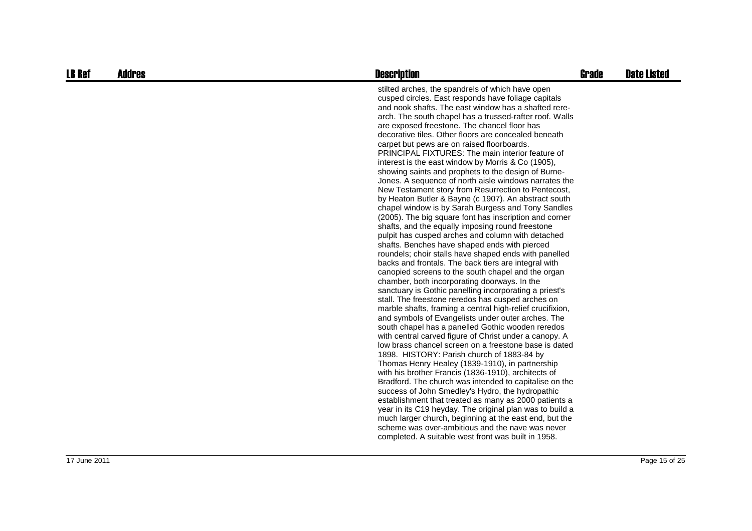| <b>LB Ref</b> | <b>Addres</b> | <b>Description</b>                                                                                                                                                                                                                                                                                                                                                                                                                                                                                                                                                                                                                                                                                                                                                                                                                                                                                                                                                                                                                                                                                                                                                                                                                                                                                                                                                                                                                                                                                                                                                                                                                                                                                                                                                                                                                                                                                                                                                                                                                                                                                                                                                                                          | <b>Grade</b> | <b>Date Listed</b> |
|---------------|---------------|-------------------------------------------------------------------------------------------------------------------------------------------------------------------------------------------------------------------------------------------------------------------------------------------------------------------------------------------------------------------------------------------------------------------------------------------------------------------------------------------------------------------------------------------------------------------------------------------------------------------------------------------------------------------------------------------------------------------------------------------------------------------------------------------------------------------------------------------------------------------------------------------------------------------------------------------------------------------------------------------------------------------------------------------------------------------------------------------------------------------------------------------------------------------------------------------------------------------------------------------------------------------------------------------------------------------------------------------------------------------------------------------------------------------------------------------------------------------------------------------------------------------------------------------------------------------------------------------------------------------------------------------------------------------------------------------------------------------------------------------------------------------------------------------------------------------------------------------------------------------------------------------------------------------------------------------------------------------------------------------------------------------------------------------------------------------------------------------------------------------------------------------------------------------------------------------------------------|--------------|--------------------|
|               |               | stilted arches, the spandrels of which have open<br>cusped circles. East responds have foliage capitals<br>and nook shafts. The east window has a shafted rere-<br>arch. The south chapel has a trussed-rafter roof. Walls<br>are exposed freestone. The chancel floor has<br>decorative tiles. Other floors are concealed beneath<br>carpet but pews are on raised floorboards.<br><b>PRINCIPAL FIXTURES: The main interior feature of</b><br>interest is the east window by Morris & Co (1905),<br>showing saints and prophets to the design of Burne-<br>Jones. A sequence of north aisle windows narrates the<br>New Testament story from Resurrection to Pentecost,<br>by Heaton Butler & Bayne (c 1907). An abstract south<br>chapel window is by Sarah Burgess and Tony Sandles<br>(2005). The big square font has inscription and corner<br>shafts, and the equally imposing round freestone<br>pulpit has cusped arches and column with detached<br>shafts. Benches have shaped ends with pierced<br>roundels; choir stalls have shaped ends with panelled<br>backs and frontals. The back tiers are integral with<br>canopied screens to the south chapel and the organ<br>chamber, both incorporating doorways. In the<br>sanctuary is Gothic panelling incorporating a priest's<br>stall. The freestone reredos has cusped arches on<br>marble shafts, framing a central high-relief crucifixion,<br>and symbols of Evangelists under outer arches. The<br>south chapel has a panelled Gothic wooden reredos<br>with central carved figure of Christ under a canopy. A<br>low brass chancel screen on a freestone base is dated<br>1898. HISTORY: Parish church of 1883-84 by<br>Thomas Henry Healey (1839-1910), in partnership<br>with his brother Francis (1836-1910), architects of<br>Bradford. The church was intended to capitalise on the<br>success of John Smedley's Hydro, the hydropathic<br>establishment that treated as many as 2000 patients a<br>year in its C19 heyday. The original plan was to build a<br>much larger church, beginning at the east end, but the<br>scheme was over-ambitious and the nave was never<br>completed. A suitable west front was built in 1958. |              |                    |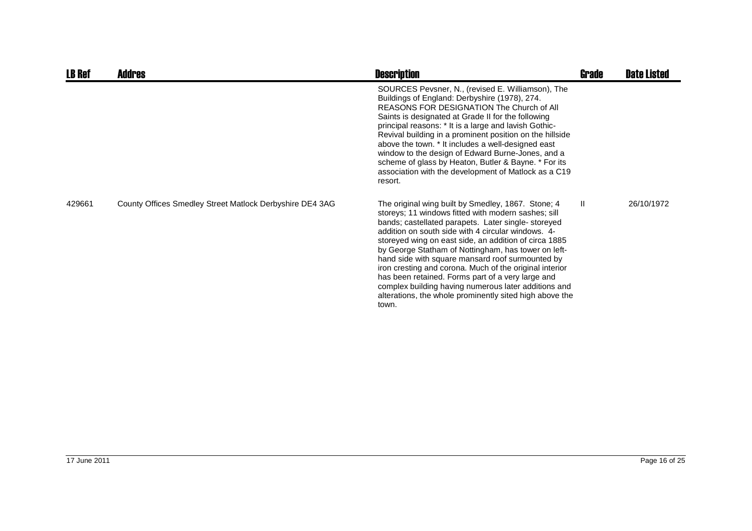| <b>LB Ref</b> | Addres                                                   | <b>Description</b>                                                                                                                                                                                                                                                                                                                                                                                                                                                                                                                                                                                                                    | <b>Grade</b> | <b>Date Listed</b> |
|---------------|----------------------------------------------------------|---------------------------------------------------------------------------------------------------------------------------------------------------------------------------------------------------------------------------------------------------------------------------------------------------------------------------------------------------------------------------------------------------------------------------------------------------------------------------------------------------------------------------------------------------------------------------------------------------------------------------------------|--------------|--------------------|
|               |                                                          | SOURCES Pevsner, N., (revised E. Williamson), The<br>Buildings of England: Derbyshire (1978), 274.<br><b>REASONS FOR DESIGNATION The Church of All</b><br>Saints is designated at Grade II for the following<br>principal reasons: * It is a large and lavish Gothic-<br>Revival building in a prominent position on the hillside<br>above the town. * It includes a well-designed east<br>window to the design of Edward Burne-Jones, and a<br>scheme of glass by Heaton, Butler & Bayne. * For its<br>association with the development of Matlock as a C19<br>resort.                                                               |              |                    |
| 429661        | County Offices Smedley Street Matlock Derbyshire DE4 3AG | The original wing built by Smedley, 1867. Stone; 4<br>storeys; 11 windows fitted with modern sashes; sill<br>bands; castellated parapets. Later single-storeyed<br>addition on south side with 4 circular windows. 4-<br>storeyed wing on east side, an addition of circa 1885<br>by George Statham of Nottingham, has tower on left-<br>hand side with square mansard roof surmounted by<br>iron cresting and corona. Much of the original interior<br>has been retained. Forms part of a very large and<br>complex building having numerous later additions and<br>alterations, the whole prominently sited high above the<br>town. | $\mathbf{H}$ | 26/10/1972         |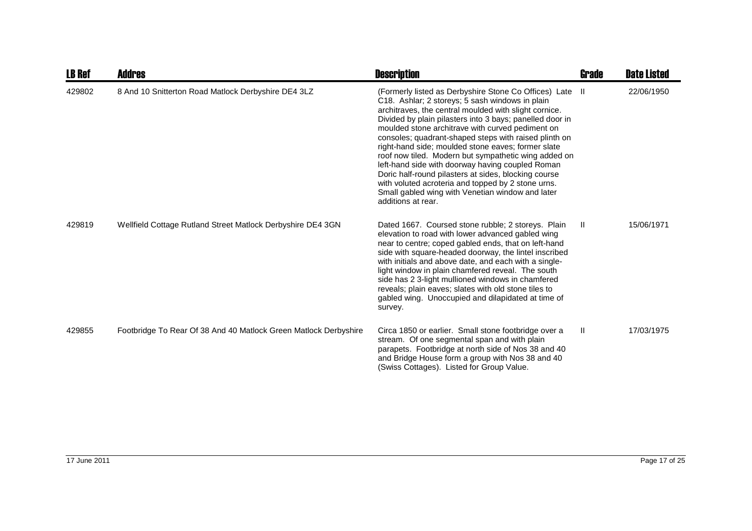| <b>LB Ref</b> | Addres                                                           | <b>Description</b>                                                                                                                                                                                                                                                                                                                                                                                                                                                                                                                                                                                                                                                                                      | Grade        | <b>Date Listed</b> |
|---------------|------------------------------------------------------------------|---------------------------------------------------------------------------------------------------------------------------------------------------------------------------------------------------------------------------------------------------------------------------------------------------------------------------------------------------------------------------------------------------------------------------------------------------------------------------------------------------------------------------------------------------------------------------------------------------------------------------------------------------------------------------------------------------------|--------------|--------------------|
| 429802        | 8 And 10 Snitterton Road Matlock Derbyshire DE4 3LZ              | (Formerly listed as Derbyshire Stone Co Offices) Late II<br>C18. Ashlar; 2 storeys; 5 sash windows in plain<br>architraves, the central moulded with slight cornice.<br>Divided by plain pilasters into 3 bays; panelled door in<br>moulded stone architrave with curved pediment on<br>consoles; quadrant-shaped steps with raised plinth on<br>right-hand side; moulded stone eaves; former slate<br>roof now tiled. Modern but sympathetic wing added on<br>left-hand side with doorway having coupled Roman<br>Doric half-round pilasters at sides, blocking course<br>with voluted acroteria and topped by 2 stone urns.<br>Small gabled wing with Venetian window and later<br>additions at rear. |              | 22/06/1950         |
| 429819        | Wellfield Cottage Rutland Street Matlock Derbyshire DE4 3GN      | Dated 1667. Coursed stone rubble; 2 storeys. Plain<br>elevation to road with lower advanced gabled wing<br>near to centre; coped gabled ends, that on left-hand<br>side with square-headed doorway, the lintel inscribed<br>with initials and above date, and each with a single-<br>light window in plain chamfered reveal. The south<br>side has 2 3-light mullioned windows in chamfered<br>reveals; plain eaves; slates with old stone tiles to<br>gabled wing. Unoccupied and dilapidated at time of<br>survey.                                                                                                                                                                                    | $\mathbf{I}$ | 15/06/1971         |
| 429855        | Footbridge To Rear Of 38 And 40 Matlock Green Matlock Derbyshire | Circa 1850 or earlier. Small stone footbridge over a<br>stream. Of one segmental span and with plain<br>parapets. Footbridge at north side of Nos 38 and 40<br>and Bridge House form a group with Nos 38 and 40<br>(Swiss Cottages). Listed for Group Value.                                                                                                                                                                                                                                                                                                                                                                                                                                            | Ш            | 17/03/1975         |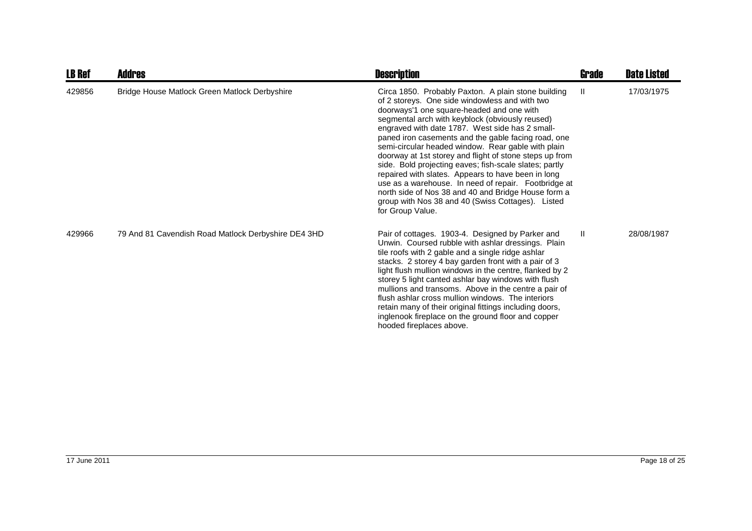| <b>LB Ref</b> | <b>Addres</b>                                       | <b>Description</b>                                                                                                                                                                                                                                                                                                                                                                                                                                                                                                                                                                                                                                                                                                                       | Grade         | <b>Date Listed</b> |
|---------------|-----------------------------------------------------|------------------------------------------------------------------------------------------------------------------------------------------------------------------------------------------------------------------------------------------------------------------------------------------------------------------------------------------------------------------------------------------------------------------------------------------------------------------------------------------------------------------------------------------------------------------------------------------------------------------------------------------------------------------------------------------------------------------------------------------|---------------|--------------------|
| 429856        | Bridge House Matlock Green Matlock Derbyshire       | Circa 1850. Probably Paxton. A plain stone building<br>of 2 storeys. One side windowless and with two<br>doorways'1 one square-headed and one with<br>segmental arch with keyblock (obviously reused)<br>engraved with date 1787. West side has 2 small-<br>paned iron casements and the gable facing road, one<br>semi-circular headed window. Rear gable with plain<br>doorway at 1st storey and flight of stone steps up from<br>side. Bold projecting eaves; fish-scale slates; partly<br>repaired with slates. Appears to have been in long<br>use as a warehouse. In need of repair. Footbridge at<br>north side of Nos 38 and 40 and Bridge House form a<br>group with Nos 38 and 40 (Swiss Cottages). Listed<br>for Group Value. | $\mathbf{II}$ | 17/03/1975         |
| 429966        | 79 And 81 Cavendish Road Matlock Derbyshire DE4 3HD | Pair of cottages. 1903-4. Designed by Parker and<br>Unwin. Coursed rubble with ashlar dressings. Plain<br>tile roofs with 2 gable and a single ridge ashlar<br>stacks. 2 storey 4 bay garden front with a pair of 3<br>light flush mullion windows in the centre, flanked by 2<br>storey 5 light canted ashlar bay windows with flush<br>mullions and transoms. Above in the centre a pair of<br>flush ashlar cross mullion windows. The interiors<br>retain many of their original fittings including doors,<br>inglenook fireplace on the ground floor and copper<br>hooded fireplaces above.                                                                                                                                          | $\mathbf{II}$ | 28/08/1987         |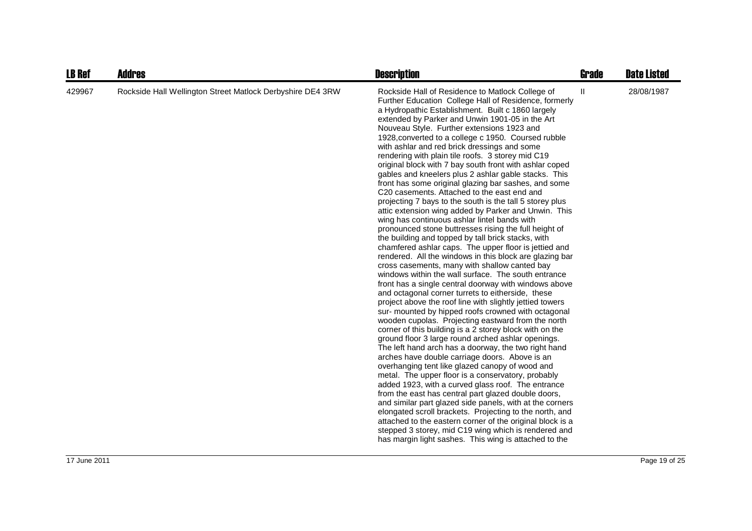| <b>LB Ref</b> | <b>Addres</b>                                              | <b>Description</b>                                                                                                                                                                                                                                                                                                                                                                                                                                                                                                                                                                                                                                                                                                                                                                                                                                                                                                                                                                                                                                                                                                                                                                                                                                                                                                                                                                                                                                                                                                                                                                                                                                                                                                                                                                                                                                                                                                                                                                                                                                                                                                                                                                                                | Grade        | <b>Date Listed</b> |
|---------------|------------------------------------------------------------|-------------------------------------------------------------------------------------------------------------------------------------------------------------------------------------------------------------------------------------------------------------------------------------------------------------------------------------------------------------------------------------------------------------------------------------------------------------------------------------------------------------------------------------------------------------------------------------------------------------------------------------------------------------------------------------------------------------------------------------------------------------------------------------------------------------------------------------------------------------------------------------------------------------------------------------------------------------------------------------------------------------------------------------------------------------------------------------------------------------------------------------------------------------------------------------------------------------------------------------------------------------------------------------------------------------------------------------------------------------------------------------------------------------------------------------------------------------------------------------------------------------------------------------------------------------------------------------------------------------------------------------------------------------------------------------------------------------------------------------------------------------------------------------------------------------------------------------------------------------------------------------------------------------------------------------------------------------------------------------------------------------------------------------------------------------------------------------------------------------------------------------------------------------------------------------------------------------------|--------------|--------------------|
| 429967        | Rockside Hall Wellington Street Matlock Derbyshire DE4 3RW | Rockside Hall of Residence to Matlock College of<br>Further Education College Hall of Residence, formerly<br>a Hydropathic Establishment. Built c 1860 largely<br>extended by Parker and Unwin 1901-05 in the Art<br>Nouveau Style. Further extensions 1923 and<br>1928, converted to a college c 1950. Coursed rubble<br>with ashlar and red brick dressings and some<br>rendering with plain tile roofs. 3 storey mid C19<br>original block with 7 bay south front with ashlar coped<br>gables and kneelers plus 2 ashlar gable stacks. This<br>front has some original glazing bar sashes, and some<br>C20 casements. Attached to the east end and<br>projecting 7 bays to the south is the tall 5 storey plus<br>attic extension wing added by Parker and Unwin. This<br>wing has continuous ashlar lintel bands with<br>pronounced stone buttresses rising the full height of<br>the building and topped by tall brick stacks, with<br>chamfered ashlar caps. The upper floor is jettied and<br>rendered. All the windows in this block are glazing bar<br>cross casements, many with shallow canted bay<br>windows within the wall surface. The south entrance<br>front has a single central doorway with windows above<br>and octagonal corner turrets to eitherside, these<br>project above the roof line with slightly jettied towers<br>sur- mounted by hipped roofs crowned with octagonal<br>wooden cupolas. Projecting eastward from the north<br>corner of this building is a 2 storey block with on the<br>ground floor 3 large round arched ashlar openings.<br>The left hand arch has a doorway, the two right hand<br>arches have double carriage doors. Above is an<br>overhanging tent like glazed canopy of wood and<br>metal. The upper floor is a conservatory, probably<br>added 1923, with a curved glass roof. The entrance<br>from the east has central part glazed double doors,<br>and similar part glazed side panels, with at the corners<br>elongated scroll brackets. Projecting to the north, and<br>attached to the eastern corner of the original block is a<br>stepped 3 storey, mid C19 wing which is rendered and<br>has margin light sashes. This wing is attached to the | $\mathbf{H}$ | 28/08/1987         |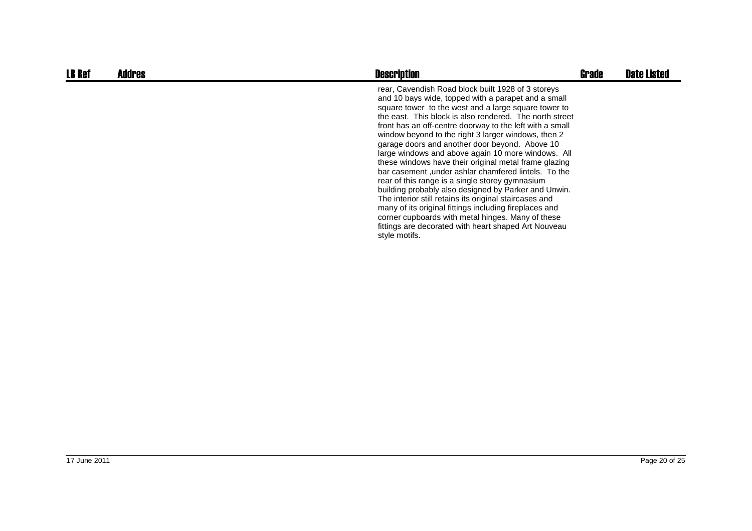| <b>LB Ref</b> | Addres | <b>Description</b>                                                                                                                                                                                                                                                                                                                                                                                                                                                                                                                                                                                                                                                                                                                                                                                                                                                                                                                    | Grade | <b>Date Listed</b> |
|---------------|--------|---------------------------------------------------------------------------------------------------------------------------------------------------------------------------------------------------------------------------------------------------------------------------------------------------------------------------------------------------------------------------------------------------------------------------------------------------------------------------------------------------------------------------------------------------------------------------------------------------------------------------------------------------------------------------------------------------------------------------------------------------------------------------------------------------------------------------------------------------------------------------------------------------------------------------------------|-------|--------------------|
|               |        | rear, Cavendish Road block built 1928 of 3 storeys<br>and 10 bays wide, topped with a parapet and a small<br>square tower to the west and a large square tower to<br>the east. This block is also rendered. The north street<br>front has an off-centre doorway to the left with a small<br>window beyond to the right 3 larger windows, then 2<br>garage doors and another door beyond. Above 10<br>large windows and above again 10 more windows. All<br>these windows have their original metal frame glazing<br>bar casement, under ashlar chamfered lintels. To the<br>rear of this range is a single storey gymnasium<br>building probably also designed by Parker and Unwin.<br>The interior still retains its original staircases and<br>many of its original fittings including fireplaces and<br>corner cupboards with metal hinges. Many of these<br>fittings are decorated with heart shaped Art Nouveau<br>style motifs. |       |                    |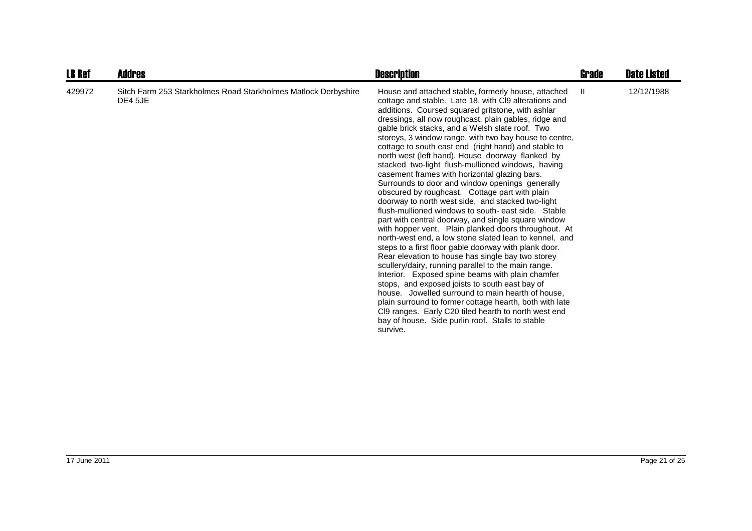| <b>LB Ref</b> | <b>Addres</b>                                                             | <b>Description</b>                                                                                                                                                                                                                                                                                                                                                                                                                                                                                                                                                                                                                                                                                                                                                                                                                                                                                                                                                                                                                                                                                                                                                                                                                                                                                                                                                                                                                                                    | Grade | <b>Date Listed</b> |
|---------------|---------------------------------------------------------------------------|-----------------------------------------------------------------------------------------------------------------------------------------------------------------------------------------------------------------------------------------------------------------------------------------------------------------------------------------------------------------------------------------------------------------------------------------------------------------------------------------------------------------------------------------------------------------------------------------------------------------------------------------------------------------------------------------------------------------------------------------------------------------------------------------------------------------------------------------------------------------------------------------------------------------------------------------------------------------------------------------------------------------------------------------------------------------------------------------------------------------------------------------------------------------------------------------------------------------------------------------------------------------------------------------------------------------------------------------------------------------------------------------------------------------------------------------------------------------------|-------|--------------------|
| 429972        | Sitch Farm 253 Starkholmes Road Starkholmes Matlock Derbyshire<br>DE4 5JE | House and attached stable, formerly house, attached<br>cottage and stable. Late 18, with CI9 alterations and<br>additions. Coursed squared gritstone, with ashlar<br>dressings, all now roughcast, plain gables, ridge and<br>gable brick stacks, and a Welsh slate roof. Two<br>storeys, 3 window range, with two bay house to centre,<br>cottage to south east end (right hand) and stable to<br>north west (left hand). House doorway flanked by<br>stacked two-light flush-mullioned windows, having<br>casement frames with horizontal glazing bars.<br>Surrounds to door and window openings generally<br>obscured by roughcast. Cottage part with plain<br>doorway to north west side, and stacked two-light<br>flush-mullioned windows to south-east side. Stable<br>part with central doorway, and single square window<br>with hopper vent. Plain planked doors throughout. At<br>north-west end, a low stone slated lean to kennel, and<br>steps to a first floor gable doorway with plank door.<br>Rear elevation to house has single bay two storey<br>scullery/dairy, running parallel to the main range.<br>Interior. Exposed spine beams with plain chamfer<br>stops, and exposed joists to south east bay of<br>house. Jowelled surround to main hearth of house.<br>plain surround to former cottage hearth, both with late<br>CI9 ranges. Early C20 tiled hearth to north west end<br>bay of house. Side purlin roof. Stalls to stable<br>survive. | Ш.    | 12/12/1988         |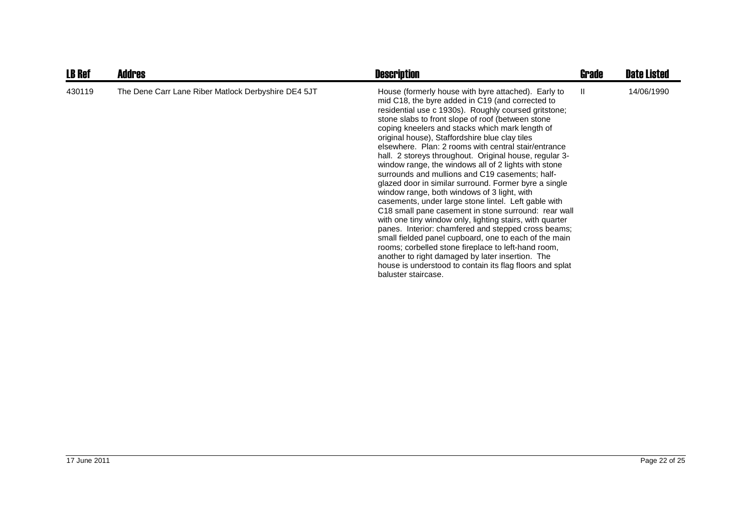| <b>LB Ref</b> | <b>Addres</b>                                       | <b>Description</b>                                                                                                                                                                                                                                                                                                                                                                                                                                                                                                                                                                                                                                                                                                                                                                                                                                                                                                                                                                                                                                                                                                                                       | Grade | <b>Date Listed</b> |
|---------------|-----------------------------------------------------|----------------------------------------------------------------------------------------------------------------------------------------------------------------------------------------------------------------------------------------------------------------------------------------------------------------------------------------------------------------------------------------------------------------------------------------------------------------------------------------------------------------------------------------------------------------------------------------------------------------------------------------------------------------------------------------------------------------------------------------------------------------------------------------------------------------------------------------------------------------------------------------------------------------------------------------------------------------------------------------------------------------------------------------------------------------------------------------------------------------------------------------------------------|-------|--------------------|
| 430119        | The Dene Carr Lane Riber Matlock Derbyshire DE4 5JT | House (formerly house with byre attached). Early to<br>mid C18, the byre added in C19 (and corrected to<br>residential use c 1930s). Roughly coursed gritstone;<br>stone slabs to front slope of roof (between stone<br>coping kneelers and stacks which mark length of<br>original house), Staffordshire blue clay tiles<br>elsewhere. Plan: 2 rooms with central stair/entrance<br>hall. 2 storeys throughout. Original house, regular 3-<br>window range, the windows all of 2 lights with stone<br>surrounds and mullions and C19 casements; half-<br>glazed door in similar surround. Former byre a single<br>window range, both windows of 3 light, with<br>casements, under large stone lintel. Left gable with<br>C18 small pane casement in stone surround: rear wall<br>with one tiny window only, lighting stairs, with quarter<br>panes. Interior: chamfered and stepped cross beams;<br>small fielded panel cupboard, one to each of the main<br>rooms; corbelled stone fireplace to left-hand room,<br>another to right damaged by later insertion. The<br>house is understood to contain its flag floors and splat<br>baluster staircase. | Ш.    | 14/06/1990         |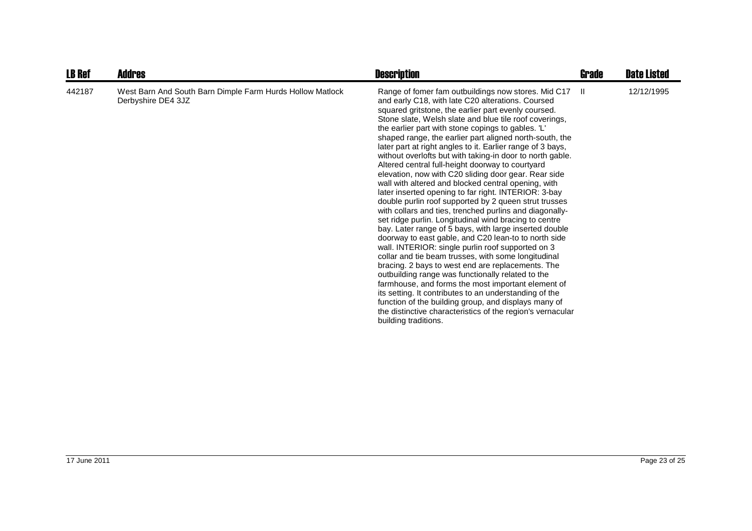| <b>LB Ref</b> | <b>Addres</b>                                                                   | <b>Description</b>                                                                                                                                                                                                                                                                                                                                                                                                                                                                                                                                                                                                                                                                                                                                                                                                                                                                                                                                                                                                                                                                                                                                                                                                                                                                                                                                                                                                                                                                  | Grade         | <b>Date Listed</b> |
|---------------|---------------------------------------------------------------------------------|-------------------------------------------------------------------------------------------------------------------------------------------------------------------------------------------------------------------------------------------------------------------------------------------------------------------------------------------------------------------------------------------------------------------------------------------------------------------------------------------------------------------------------------------------------------------------------------------------------------------------------------------------------------------------------------------------------------------------------------------------------------------------------------------------------------------------------------------------------------------------------------------------------------------------------------------------------------------------------------------------------------------------------------------------------------------------------------------------------------------------------------------------------------------------------------------------------------------------------------------------------------------------------------------------------------------------------------------------------------------------------------------------------------------------------------------------------------------------------------|---------------|--------------------|
| 442187        | West Barn And South Barn Dimple Farm Hurds Hollow Matlock<br>Derbyshire DE4 3JZ | Range of fomer fam outbuildings now stores. Mid C17<br>and early C18, with late C20 alterations. Coursed<br>squared gritstone, the earlier part evenly coursed.<br>Stone slate, Welsh slate and blue tile roof coverings,<br>the earlier part with stone copings to gables. 'L'<br>shaped range, the earlier part aligned north-south, the<br>later part at right angles to it. Earlier range of 3 bays,<br>without overlofts but with taking-in door to north gable.<br>Altered central full-height doorway to courtyard<br>elevation, now with C20 sliding door gear. Rear side<br>wall with altered and blocked central opening, with<br>later inserted opening to far right. INTERIOR: 3-bay<br>double purlin roof supported by 2 queen strut trusses<br>with collars and ties, trenched purlins and diagonally-<br>set ridge purlin. Longitudinal wind bracing to centre<br>bay. Later range of 5 bays, with large inserted double<br>doorway to east gable, and C20 lean-to to north side<br>wall. INTERIOR: single purlin roof supported on 3<br>collar and tie beam trusses, with some longitudinal<br>bracing. 2 bays to west end are replacements. The<br>outbuilding range was functionally related to the<br>farmhouse, and forms the most important element of<br>its setting. It contributes to an understanding of the<br>function of the building group, and displays many of<br>the distinctive characteristics of the region's vernacular<br>building traditions. | $\mathbf{II}$ | 12/12/1995         |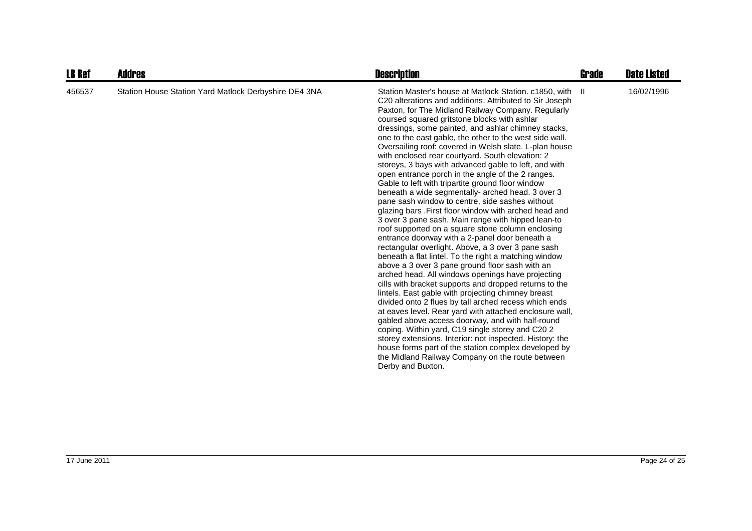| <b>LB Ref</b> | Addres                                                | <b>Description</b>                                                                                                                                                                                                                                                                                                                                                                                                                                                                                                                                                                                                                                                                                                                                                                                                                                                                                                                                                                                                                                                                                                                                                                                                                                                                                                                                                                                                                                                                                                                                                                                                                                                                                                       | <b>Grade</b> | <b>Date Listed</b> |
|---------------|-------------------------------------------------------|--------------------------------------------------------------------------------------------------------------------------------------------------------------------------------------------------------------------------------------------------------------------------------------------------------------------------------------------------------------------------------------------------------------------------------------------------------------------------------------------------------------------------------------------------------------------------------------------------------------------------------------------------------------------------------------------------------------------------------------------------------------------------------------------------------------------------------------------------------------------------------------------------------------------------------------------------------------------------------------------------------------------------------------------------------------------------------------------------------------------------------------------------------------------------------------------------------------------------------------------------------------------------------------------------------------------------------------------------------------------------------------------------------------------------------------------------------------------------------------------------------------------------------------------------------------------------------------------------------------------------------------------------------------------------------------------------------------------------|--------------|--------------------|
| 456537        | Station House Station Yard Matlock Derbyshire DE4 3NA | Station Master's house at Matlock Station. c1850, with<br>C20 alterations and additions. Attributed to Sir Joseph<br>Paxton, for The Midland Railway Company. Regularly<br>coursed squared gritstone blocks with ashlar<br>dressings, some painted, and ashlar chimney stacks,<br>one to the east gable, the other to the west side wall.<br>Oversailing roof: covered in Welsh slate. L-plan house<br>with enclosed rear courtyard. South elevation: 2<br>storeys, 3 bays with advanced gable to left, and with<br>open entrance porch in the angle of the 2 ranges.<br>Gable to left with tripartite ground floor window<br>beneath a wide segmentally- arched head. 3 over 3<br>pane sash window to centre, side sashes without<br>glazing bars. First floor window with arched head and<br>3 over 3 pane sash. Main range with hipped lean-to<br>roof supported on a square stone column enclosing<br>entrance doorway with a 2-panel door beneath a<br>rectangular overlight. Above, a 3 over 3 pane sash<br>beneath a flat lintel. To the right a matching window<br>above a 3 over 3 pane ground floor sash with an<br>arched head. All windows openings have projecting<br>cills with bracket supports and dropped returns to the<br>lintels. East gable with projecting chimney breast<br>divided onto 2 flues by tall arched recess which ends<br>at eaves level. Rear yard with attached enclosure wall,<br>gabled above access doorway, and with half-round<br>coping. Within yard, C19 single storey and C20 2<br>storey extensions. Interior: not inspected. History: the<br>house forms part of the station complex developed by<br>the Midland Railway Company on the route between<br>Derby and Buxton. | -II          | 16/02/1996         |